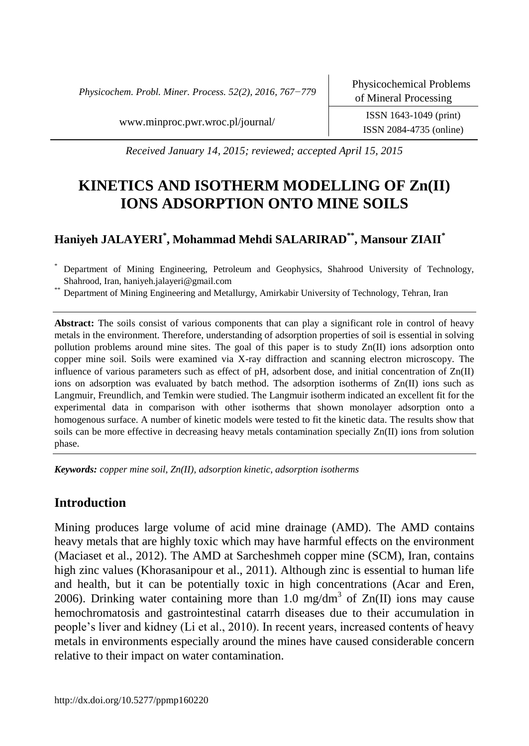*Physicochem. Probl. Miner. Process. 52(2), 2016, 767−779*

Physicochemical Problems of Mineral Processing

[www.minproc.pwr.wroc.pl/journal/](http://www.minproc.pwr.wroc.pl/journal/) ISSN 1643-1049 (print)

ISSN 2084-4735 (online)

*Received January 14, 2015; reviewed; accepted April 15, 2015*

# **KINETICS AND ISOTHERM MODELLING OF Zn(II) IONS ADSORPTION ONTO MINE SOILS**

# **Haniyeh JALAYERI\* , Mohammad Mehdi SALARIRAD\*\*, Mansour ZIAII\***

Department of Mining Engineering, Petroleum and Geophysics, Shahrood University of Technology, Shahrood, Iran, haniyeh.jalayeri@gmail.com

Department of Mining Engineering and Metallurgy, Amirkabir University of Technology, Tehran, Iran

**Abstract:** The soils consist of various components that can play a significant role in control of heavy metals in the environment. Therefore, understanding of adsorption properties of soil is essential in solving pollution problems around mine sites. The goal of this paper is to study Zn(II) ions adsorption onto copper mine soil. Soils were examined via X-ray diffraction and scanning electron microscopy. The influence of various parameters such as effect of pH, adsorbent dose, and initial concentration of Zn(II) ions on adsorption was evaluated by batch method. The adsorption isotherms of Zn(II) ions such as Langmuir, Freundlich, and Temkin were studied. The Langmuir isotherm indicated an excellent fit for the experimental data in comparison with other isotherms that shown monolayer adsorption onto a homogenous surface. A number of kinetic models were tested to fit the kinetic data. The results show that soils can be more effective in decreasing heavy metals contamination specially Zn(II) ions from solution phase.

*Keywords: copper mine soil, Zn(II), adsorption kinetic, adsorption isotherms*

# **Introduction**

Mining produces large volume of acid mine drainage (AMD). The AMD contains heavy metals that are highly toxic which may have harmful effects on the environment (Maciaset et al., 2012). The AMD at Sarcheshmeh copper mine (SCM), Iran, contains high zinc values (Khorasanipour et al., 2011). Although zinc is essential to human life and health, but it can be potentially toxic in high concentrations (Acar and Eren, 2006). Drinking water containing more than 1.0 mg/dm<sup>3</sup> of  $Zn(II)$  ions may cause hemochromatosis and gastrointestinal catarrh diseases due to their accumulation in people's liver and kidney (Li et al., 2010). In recent years, increased contents of heavy metals in environments especially around the mines have caused considerable concern relative to their impact on water contamination.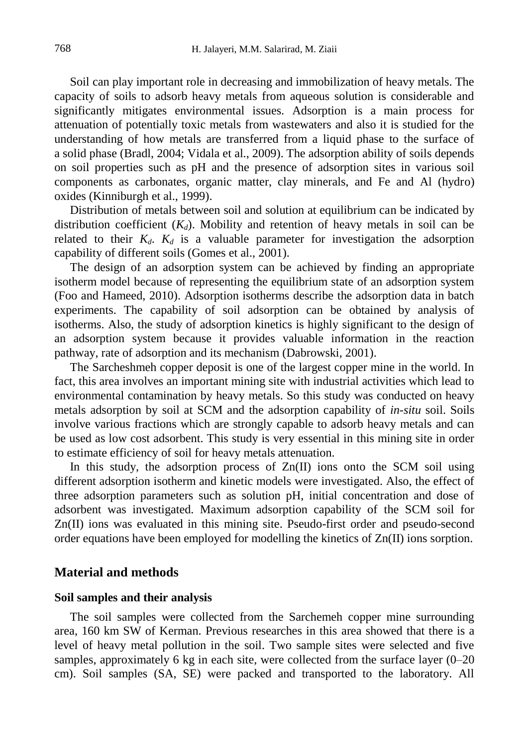Soil can play important role in decreasing and immobilization of heavy metals. The capacity of soils to adsorb heavy metals from aqueous solution is considerable and significantly mitigates environmental issues. Adsorption is a main process for attenuation of potentially toxic metals from wastewaters and also it is studied for the understanding of how metals are transferred from a liquid phase to the surface of a solid phase (Bradl, 2004; Vidala et al., 2009). The adsorption ability of soils depends on soil properties such as pH and the presence of adsorption sites in various soil components as carbonates, organic matter, clay minerals, and Fe and Al (hydro) oxides (Kinniburgh et al., 1999).

Distribution of metals between soil and solution at equilibrium can be indicated by distribution coefficient  $(K_d)$ . Mobility and retention of heavy metals in soil can be related to their  $K_d$ .  $K_d$  is a valuable parameter for investigation the adsorption capability of different soils (Gomes et al., 2001).

The design of an adsorption system can be achieved by finding an appropriate isotherm model because of representing the equilibrium state of an adsorption system (Foo and Hameed, 2010). Adsorption isotherms describe the adsorption data in batch experiments. The capability of soil adsorption can be obtained by analysis of isotherms. Also, the study of adsorption kinetics is highly significant to the design of an adsorption system because it provides valuable information in the reaction pathway, rate of adsorption and its mechanism (Dabrowski, 2001).

The Sarcheshmeh copper deposit is one of the largest copper mine in the world. In fact, this area involves an important mining site with industrial activities which lead to environmental contamination by heavy metals. So this study was conducted on heavy metals adsorption by soil at SCM and the adsorption capability of *in-situ* soil. Soils involve various fractions which are strongly capable to adsorb heavy metals and can be used as low cost adsorbent. This study is very essential in this mining site in order to estimate efficiency of soil for heavy metals attenuation.

In this study, the adsorption process of  $Zn(II)$  ions onto the SCM soil using different adsorption isotherm and kinetic models were investigated. Also, the effect of three adsorption parameters such as solution pH, initial concentration and dose of adsorbent was investigated. Maximum adsorption capability of the SCM soil for Zn(II) ions was evaluated in this mining site. Pseudo-first order and pseudo-second order equations have been employed for modelling the kinetics of Zn(II) ions sorption.

### **Material and methods**

#### **Soil samples and their analysis**

The soil samples were collected from the Sarchemeh copper mine surrounding area, 160 km SW of Kerman. Previous researches in this area showed that there is a level of heavy metal pollution in the soil. Two sample sites were selected and five samples, approximately 6 kg in each site, were collected from the surface layer (0–20 cm). Soil samples (SA, SE) were packed and transported to the laboratory. All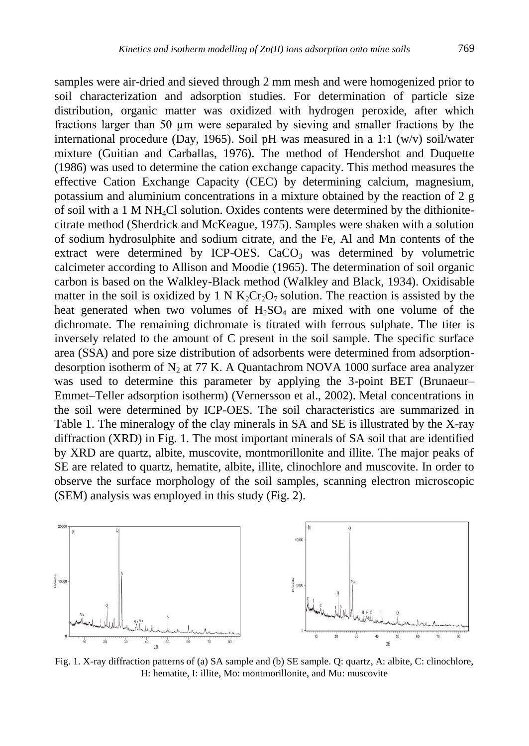samples were air-dried and sieved through 2 mm mesh and were homogenized prior to soil characterization and adsorption studies. For determination of particle size distribution, organic matter was oxidized with hydrogen peroxide, after which fractions larger than 50 µm were separated by sieving and smaller fractions by the international procedure (Day, 1965). Soil pH was measured in a 1:1 (w/v) soil/water mixture (Guitian and Carballas, 1976). The method of Hendershot and Duquette (1986) was used to determine the cation exchange capacity. This method measures the effective Cation Exchange Capacity (CEC) by determining calcium, magnesium, potassium and aluminium concentrations in a mixture obtained by the reaction of 2 g of soil with a 1 M NH4Cl solution. Oxides contents were determined by the dithionitecitrate method (Sherdrick and McKeague, 1975). Samples were shaken with a solution of sodium hydrosulphite and sodium citrate, and the Fe, Al and Mn contents of the extract were determined by ICP-OES.  $CaCO<sub>3</sub>$  was determined by volumetric calcimeter according to Allison and Moodie (1965). The determination of soil organic carbon is based on the Walkley-Black method (Walkley and Black, 1934). Oxidisable matter in the soil is oxidized by 1 N  $K_2Cr_2O_7$  solution. The reaction is assisted by the heat generated when two volumes of  $H_2SO_4$  are mixed with one volume of the dichromate. The remaining dichromate is titrated with ferrous sulphate. The titer is inversely related to the amount of C present in the soil sample. The specific surface area (SSA) and pore size distribution of adsorbents were determined from adsorptiondesorption isotherm of  $N_2$  at 77 K. A Quantachrom NOVA 1000 surface area analyzer was used to determine this parameter by applying the 3-point BET (Brunaeur– Emmet–Teller adsorption isotherm) (Vernersson et al., 2002). Metal concentrations in the soil were determined by ICP-OES. The soil characteristics are summarized in Table 1. The mineralogy of the clay minerals in SA and SE is illustrated by the X-ray diffraction (XRD) in Fig. 1. The most important minerals of SA soil that are identified by XRD are quartz, albite, muscovite, montmorillonite and illite. The major peaks of SE are related to quartz, hematite, albite, illite, clinochlore and muscovite. In order to observe the surface morphology of the soil samples, scanning electron microscopic (SEM) analysis was employed in this study (Fig. 2).



Fig. 1. X-ray diffraction patterns of (a) SA sample and (b) SE sample. Q: quartz, A: albite, C: clinochlore, H: hematite, I: illite, Mo: montmorillonite, and Mu: muscovite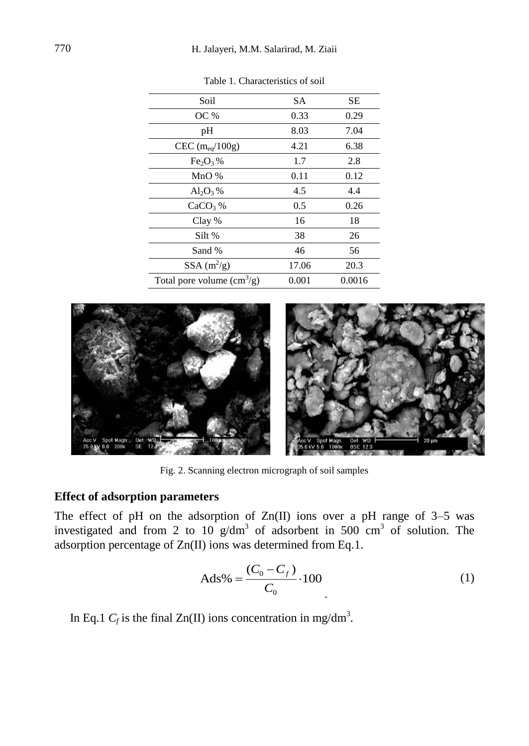| Soil                          | SА    | SЕ     |
|-------------------------------|-------|--------|
| OC %                          | 0.33  | 0.29   |
| pH                            | 8.03  | 7.04   |
| CEC $(m_{eq}/100g)$           | 4.21  | 6.38   |
| $Fe2O3$ %                     | 1.7   | 2.8    |
| $MnO$ %                       | 0.11  | 0.12   |
| $\mathrm{Al}_2\mathrm{O}_3\%$ | 4.5   | 4.4    |
| $CaCO3$ %                     | 0.5   | 0.26   |
| Clay %                        | 16    | 18     |
| Silt %                        | 38    | 26     |
| Sand %                        | 46    | 56     |
| SSA $(m^2/g)$                 | 17.06 | 20.3   |
| Total pore volume $(cm3/g)$   | 0.001 | 0.0016 |

Table 1. Characteristics of soil



Fig. 2. Scanning electron micrograph of soil samples

### **Effect of adsorption parameters**

The effect of pH on the adsorption of  $Zn(II)$  ions over a pH range of 3–5 was investigated and from 2 to 10  $g/dm^3$  of adsorbent in 500 cm<sup>3</sup> of solution. The adsorption percentage of Zn(II) ions was determined from Eq.1.

$$
Ads\% = \frac{(C_0 - C_f)}{C_0} \cdot 100\tag{1}
$$

In Eq.1  $C_f$  is the final Zn(II) ions concentration in mg/dm<sup>3</sup>.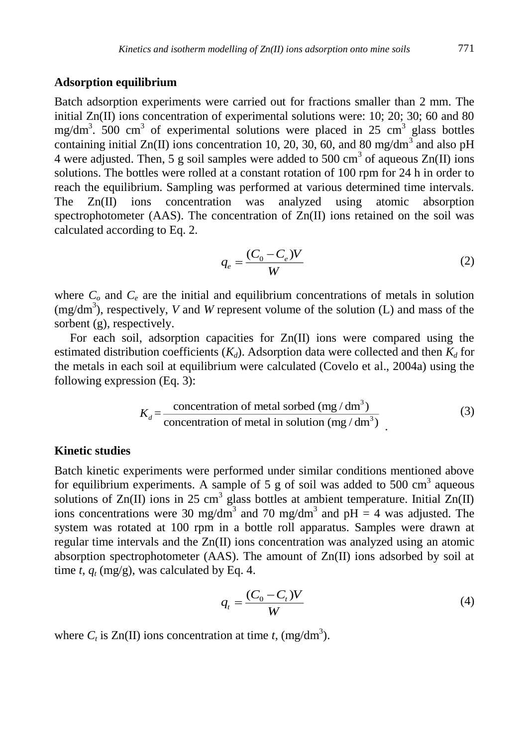### **Adsorption equilibrium**

Batch adsorption experiments were carried out for fractions smaller than 2 mm. The initial  $Zn(\text{II})$  ions concentration of experimental solutions were: 10; 20; 30; 60 and 80 mg/dm<sup>3</sup>. 500 cm<sup>3</sup> of experimental solutions were placed in 25 cm<sup>3</sup> glass bottles containing initial Zn(II) ions concentration 10, 20, 30, 60, and 80 mg/dm<sup>3</sup> and also pH 4 were adjusted. Then, 5 g soil samples were added to 500 cm<sup>3</sup> of aqueous  $Zn(II)$  ions solutions. The bottles were rolled at a constant rotation of 100 rpm for 24 h in order to reach the equilibrium. Sampling was performed at various determined time intervals. The Zn(II) ions concentration was analyzed using atomic absorption spectrophotometer (AAS). The concentration of Zn(II) ions retained on the soil was calculated according to Eq. 2.

$$
q_e = \frac{(C_0 - C_e)V}{W}
$$
 (2)

where  $C<sub>o</sub>$  and  $C<sub>e</sub>$  are the initial and equilibrium concentrations of metals in solution  $(mg/dm<sup>3</sup>)$ , respectively, *V* and *W* represent volume of the solution (L) and mass of the sorbent (g), respectively.

For each soil, adsorption capacities for  $Zn(II)$  ions were compared using the estimated distribution coefficients  $(K_d)$ . Adsorption data were collected and then  $K_d$  for the metals in each soil at equilibrium were calculated (Covelo et al., 2004a) using the following expression (Eq. 3):

$$
K_d = \frac{\text{concentration of metal sorbed (mg/dm}^3)}{\text{concentration of metal in solution (mg/dm}^3)}\tag{3}
$$

### **Kinetic studies**

Batch kinetic experiments were performed under similar conditions mentioned above for equilibrium experiments. A sample of 5 g of soil was added to 500 cm<sup>3</sup> aqueous solutions of  $\text{Zn(II)}$  ions in 25 cm<sup>3</sup> glass bottles at ambient temperature. Initial  $\text{Zn(II)}$ ions concentrations were 30 mg/dm<sup>3</sup> and 70 mg/dm<sup>3</sup> and pH = 4 was adjusted. The system was rotated at 100 rpm in a bottle roll apparatus. Samples were drawn at regular time intervals and the Zn(II) ions concentration was analyzed using an atomic absorption spectrophotometer (AAS). The amount of Zn(II) ions adsorbed by soil at time *t*,  $q_t$  (mg/g), was calculated by Eq. 4.

$$
q_t = \frac{(C_0 - C_t)V}{W} \tag{4}
$$

where  $C_t$  is  $Zn(II)$  ions concentration at time *t*, (mg/dm<sup>3</sup>).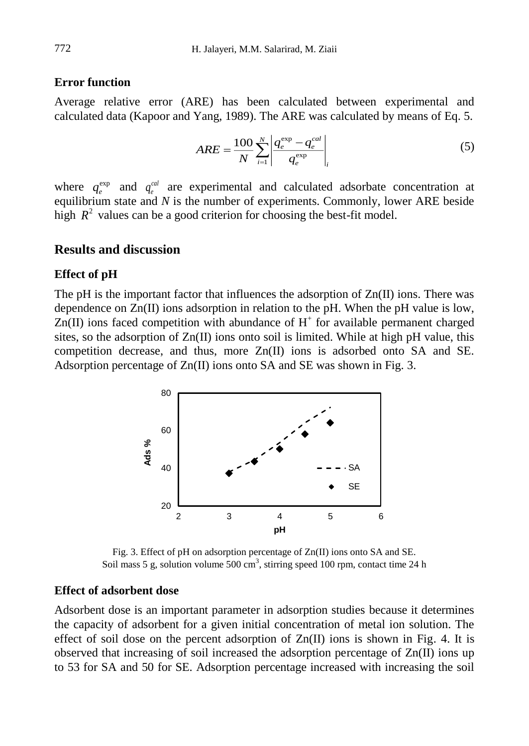### **Error function**

Average relative error (ARE) has been calculated between experimental and calculated data (Kapoor and Yang, 1989). The ARE was calculated by means of Eq. 5.

$$
ARE = \frac{100}{N} \sum_{i=1}^{N} \left| \frac{q_e^{\exp} - q_e^{cal}}{q_e^{\exp}} \right|_{i}
$$
 (5)

where  $q_e^{\text{exp}}$  and  $q_e^{\text{cal}}$  are experimental and calculated adsorbate concentration at equilibrium state and *N* is the number of experiments. Commonly, lower ARE beside high  $R^2$  values can be a good criterion for choosing the best-fit model.

### **Results and discussion**

#### **Effect of pH**

The pH is the important factor that influences the adsorption of  $Zn(II)$  ions. There was dependence on  $Zn(\Pi)$  ions adsorption in relation to the pH. When the pH value is low,  $Zn(II)$  ions faced competition with abundance of  $H^+$  for available permanent charged sites, so the adsorption of  $Zn(\Pi)$  ions onto soil is limited. While at high pH value, this competition decrease, and thus, more Zn(II) ions is adsorbed onto SA and SE. Adsorption percentage of Zn(II) ions onto SA and SE was shown in Fig. 3.



Fig. 3. Effect of pH on adsorption percentage of Zn(II) ions onto SA and SE. Soil mass 5 g, solution volume 500 cm<sup>3</sup>, stirring speed 100 rpm, contact time 24 h

#### **Effect of adsorbent dose**

Adsorbent dose is an important parameter in adsorption studies because it determines the capacity of adsorbent for a given initial concentration of metal ion solution. The effect of soil dose on the percent adsorption of  $Zn(II)$  ions is shown in Fig. 4. It is observed that increasing of soil increased the adsorption percentage of Zn(II) ions up to 53 for SA and 50 for SE. Adsorption percentage increased with increasing the soil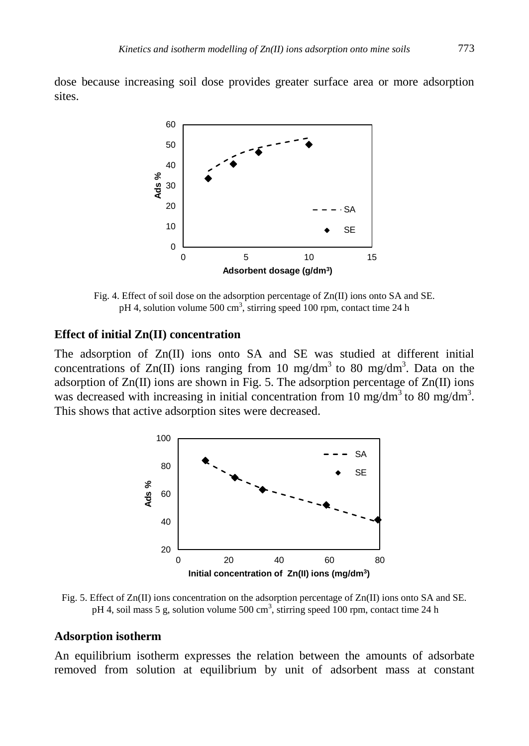dose because increasing soil dose provides greater surface area or more adsorption sites.



Fig. 4. Effect of soil dose on the adsorption percentage of Zn(II) ions onto SA and SE. pH 4, solution volume 500 cm<sup>3</sup>, stirring speed 100 rpm, contact time 24 h

### **Effect of initial Zn(II) concentration**

The adsorption of Zn(II) ions onto SA and SE was studied at different initial concentrations of Zn(II) ions ranging from 10 mg/dm<sup>3</sup> to 80 mg/dm<sup>3</sup>. Data on the adsorption of  $Zn(II)$  ions are shown in Fig. 5. The adsorption percentage of  $Zn(II)$  ions was decreased with increasing in initial concentration from 10 mg/dm<sup>3</sup> to 80 mg/dm<sup>3</sup>. This shows that active adsorption sites were decreased.



Fig. 5. Effect of Zn(II) ions concentration on the adsorption percentage of Zn(II) ions onto SA and SE. pH 4, soil mass 5 g, solution volume 500 cm<sup>3</sup>, stirring speed 100 rpm, contact time 24 h

#### **Adsorption isotherm**

An equilibrium isotherm expresses the relation between the amounts of adsorbate removed from solution at equilibrium by unit of adsorbent mass at constant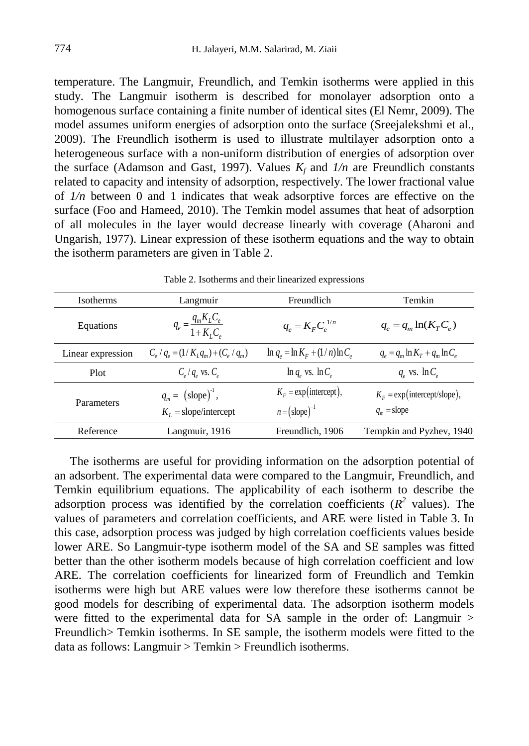temperature. The Langmuir, Freundlich, and Temkin isotherms were applied in this study. The Langmuir isotherm is described for monolayer adsorption onto a homogenous surface containing a finite number of identical sites (El Nemr, 2009). The model assumes uniform energies of adsorption onto the surface (Sreejalekshmi et al., 2009). The Freundlich isotherm is used to illustrate multilayer adsorption onto a heterogeneous surface with a non-uniform distribution of energies of adsorption over the surface (Adamson and Gast, 1997). Values  $K_f$  and  $1/n$  are Freundlich constants related to capacity and intensity of adsorption, respectively. The lower fractional value of *1/n* between 0 and 1 indicates that weak adsorptive forces are effective on the surface (Foo and Hameed, 2010). The Temkin model assumes that heat of adsorption of all molecules in the layer would decrease linearly with coverage (Aharoni and Ungarish, 1977). Linear expression of these isotherm equations and the way to obtain the isotherm parameters are given in Table 2.

|                   |                                                       | raore 2: hourenno and their iniquiped expressions     |                                                        |
|-------------------|-------------------------------------------------------|-------------------------------------------------------|--------------------------------------------------------|
| Isotherms         | Langmuir                                              | Freundlich                                            | Temkin                                                 |
| Equations         | $q_e = \frac{q_m K_L C_e}{1 + K_L C_e}$               | $q_e = K_F C_e^{1/n}$                                 | $q_e = q_m \ln(K_T C_e)$                               |
| Linear expression | $C_e/q_e = (1/K_I q_m) + (C_e/q_m)$                   | $\ln q_e = \ln K_F + (1/n) \ln C_e$                   | $q_e = q_m \ln K_T + q_m \ln C_e$                      |
| Plot              | $C_e/q_e$ vs. $C_e$                                   | $\ln q_e$ vs. $\ln C_e$                               | $q_e$ vs. $\ln C_e$                                    |
| Parameters        | $q_m = (\text{slope})^1$ ,<br>$K_i$ = slope/intercept | $K_F = \exp(\text{intercept}),$<br>$n = (slope)^{-1}$ | $K_F = \exp(\text{intercept/slope}),$<br>$q_m$ = slope |
| Reference         | Langmuir, 1916                                        | Freundlich, 1906                                      | Tempkin and Pyzhev, 1940                               |

Table 2. Isotherms and their linearized expressions

The isotherms are useful for providing information on the adsorption potential of an adsorbent. The experimental data were compared to the Langmuir, Freundlich, and Temkin equilibrium equations. The applicability of each isotherm to describe the adsorption process was identified by the correlation coefficients  $(R^2$  values). The values of parameters and correlation coefficients, and ARE were listed in Table 3. In this case, adsorption process was judged by high correlation coefficients values beside lower ARE. So Langmuir-type isotherm model of the SA and SE samples was fitted better than the other isotherm models because of high correlation coefficient and low ARE. The correlation coefficients for linearized form of Freundlich and Temkin isotherms were high but ARE values were low therefore these isotherms cannot be good models for describing of experimental data. The adsorption isotherm models were fitted to the experimental data for SA sample in the order of: Langmuir > Freundlich> Temkin isotherms. In SE sample, the isotherm models were fitted to the data as follows: Langmuir > Temkin > Freundlich isotherms.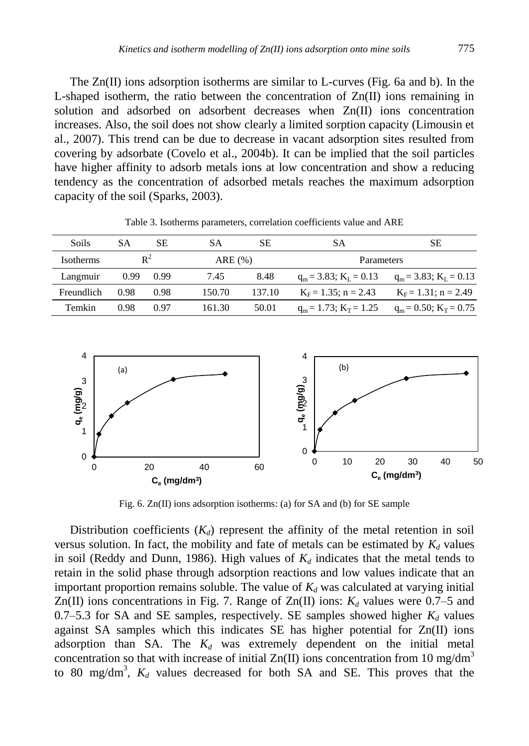The  $Zn(II)$  ions adsorption isotherms are similar to L-curves (Fig. 6a and b). In the L-shaped isotherm, the ratio between the concentration of  $Zn(\Pi)$  ions remaining in solution and adsorbed on adsorbent decreases when Zn(II) ions concentration increases. Also, the soil does not show clearly a limited sorption capacity (Limousin et al., 2007). This trend can be due to decrease in vacant adsorption sites resulted from covering by adsorbate (Covelo et al., 2004b). It can be implied that the soil particles have higher affinity to adsorb metals ions at low concentration and show a reducing tendency as the concentration of adsorbed metals reaches the maximum adsorption capacity of the soil (Sparks, 2003).

| Soils            | SА   | SЕ    | SА     | SЕ     | SА                          | SЕ                          |
|------------------|------|-------|--------|--------|-----------------------------|-----------------------------|
| <b>Isotherms</b> |      | $R^2$ | ARE(%) |        | Parameters                  |                             |
| Langmuir         | 0.99 | 0.99  | 7.45   | 8.48   | $q_m = 3.83$ ; $K_I = 0.13$ | $q_m = 3.83$ ; $K_L = 0.13$ |
| Freundlich       | 0.98 | 0.98  | 150.70 | 137.10 | $K_F = 1.35$ ; n = 2.43     | $K_F = 1.31$ ; n = 2.49     |
| Temkin           | 0.98 | O 97  | 161.30 | 50.01  | $q_m = 1.73$ ; $K_T = 1.25$ | $q_m = 0.50$ ; $K_T = 0.75$ |

Table 3. Isotherms parameters, correlation coefficients value and ARE



Fig. 6. Zn(II) ions adsorption isotherms: (a) for SA and (b) for SE sample

Distribution coefficients  $(K_d)$  represent the affinity of the metal retention in soil versus solution. In fact, the mobility and fate of metals can be estimated by  $K_d$  values in soil (Reddy and Dunn, 1986). High values of  $K_d$  indicates that the metal tends to retain in the solid phase through adsorption reactions and low values indicate that an important proportion remains soluble. The value of  $K_d$  was calculated at varying initial Zn(II) ions concentrations in Fig. 7. Range of Zn(II) ions:  $K_d$  values were 0.7–5 and 0.7–5.3 for SA and SE samples, respectively. SE samples showed higher  $K_d$  values against SA samples which this indicates SE has higher potential for Zn(II) ions adsorption than SA. The *K<sup>d</sup>* was extremely dependent on the initial metal concentration so that with increase of initial  $Zn(II)$  ions concentration from 10 mg/dm<sup>3</sup> to 80 mg/dm<sup>3</sup>,  $K_d$  values decreased for both SA and SE. This proves that the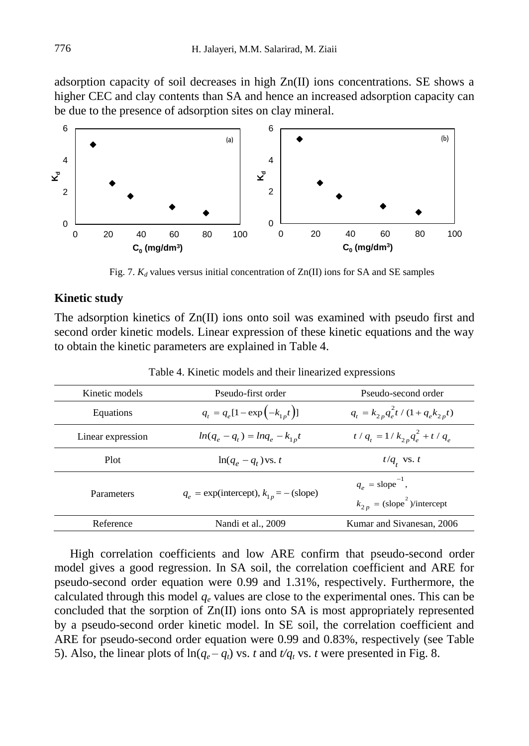adsorption capacity of soil decreases in high Zn(II) ions concentrations. SE shows a higher CEC and clay contents than SA and hence an increased adsorption capacity can be due to the presence of adsorption sites on clay mineral.



Fig. 7.  $K_d$  values versus initial concentration of  $Zn(II)$  ions for SA and SE samples

### **Kinetic study**

The adsorption kinetics of Zn(II) ions onto soil was examined with pseudo first and second order kinetic models. Linear expression of these kinetic equations and the way to obtain the kinetic parameters are explained in Table 4.

| Kinetic models    | Pseudo-first order                           | Pseudo-second order                                                           |
|-------------------|----------------------------------------------|-------------------------------------------------------------------------------|
| Equations         | $q_t = q_e[1 - \exp(-k_{1p}t)]$              | $q_t = k_{2p} q_e^2 t / (1 + q_e k_{2p} t)$                                   |
| Linear expression | $ln(q_e - q_t) = lnq_e - k_{1p}t$            | $t/q_t = 1/k_{2p}q_e^2 + t/q_e$                                               |
| <b>Plot</b>       | $\ln(q_e - q_t)$ vs. t                       | $t/q$ , vs. t                                                                 |
| Parameters        | $q_e$ = exp(intercept), $k_{1p}$ = - (slope) | $q_e$ = slope <sup>-1</sup> ,<br>$k_{2p} = (\text{slope}^2)/\text{intercept}$ |
| Reference         | Nandi et al., 2009                           | Kumar and Sivanesan, 2006                                                     |

Table 4. Kinetic models and their linearized expressions

High correlation coefficients and low ARE confirm that pseudo-second order model gives a good regression. In SA soil, the correlation coefficient and ARE for pseudo-second order equation were 0.99 and 1.31%, respectively. Furthermore, the calculated through this model  $q_e$  values are close to the experimental ones. This can be concluded that the sorption of Zn(II) ions onto SA is most appropriately represented by a pseudo-second order kinetic model. In SE soil, the correlation coefficient and ARE for pseudo-second order equation were 0.99 and 0.83%, respectively (see Table 5). Also, the linear plots of  $\ln(q_e - q_t)$  vs. *t* and  $t/q_t$  vs. *t* were presented in Fig. 8.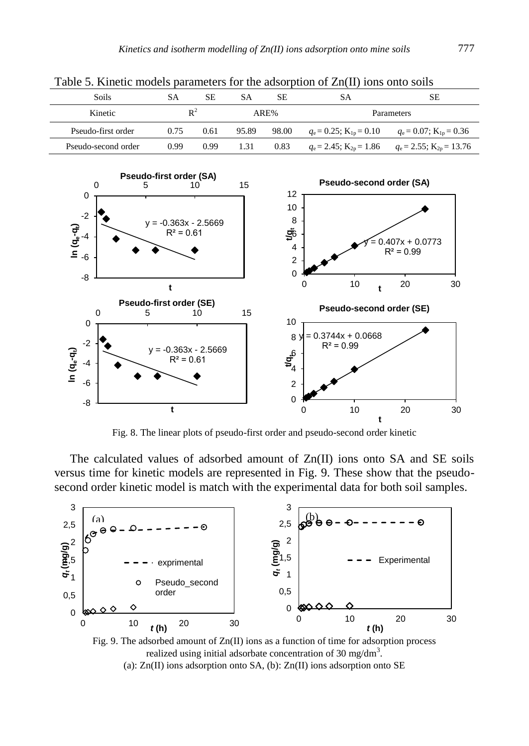| Twore of Tennesse throwers perfectively for the west-traction of English Child Child Comp |      |      |           |       |                                |                                                                              |
|-------------------------------------------------------------------------------------------|------|------|-----------|-------|--------------------------------|------------------------------------------------------------------------------|
| Soils                                                                                     | SА   | SE   | <b>SA</b> | SE.   | SА                             | SЕ                                                                           |
| Kinetic                                                                                   |      | ₽    |           | ARE%  |                                | Parameters                                                                   |
| Pseudo-first order                                                                        | 0.75 | 0.61 | 95.89     | 98.00 | $q_e = 0.25$ ; $K_{1p} = 0.10$ | $q_e = 0.07$ ; $K_{1p} = 0.36$                                               |
| Pseudo-second order                                                                       | 0.99 | 0.99 | 1.31      | 0.83  |                                | $q_e = 2.45$ ; K <sub>2p</sub> = 1.86 $q_e = 2.55$ ; K <sub>2p</sub> = 13.76 |

Table 5. Kinetic models parameters for the adsorption of Zn(II) ions onto soils



Fig. 8. The linear plots of pseudo-first order and pseudo-second order kinetic

The calculated values of adsorbed amount of Zn(II) ions onto SA and SE soils versus time for kinetic models are represented in Fig. 9. These show that the pseudosecond order kinetic model is match with the experimental data for both soil samples.



Fig. 9. The adsorbed amount of  $Zn(II)$  ions as a function of time for adsorption process realized using initial adsorbate concentration of 30 mg/dm<sup>3</sup>. (a):  $Zn(II)$  ions adsorption onto SA, (b):  $Zn(II)$  ions adsorption onto SE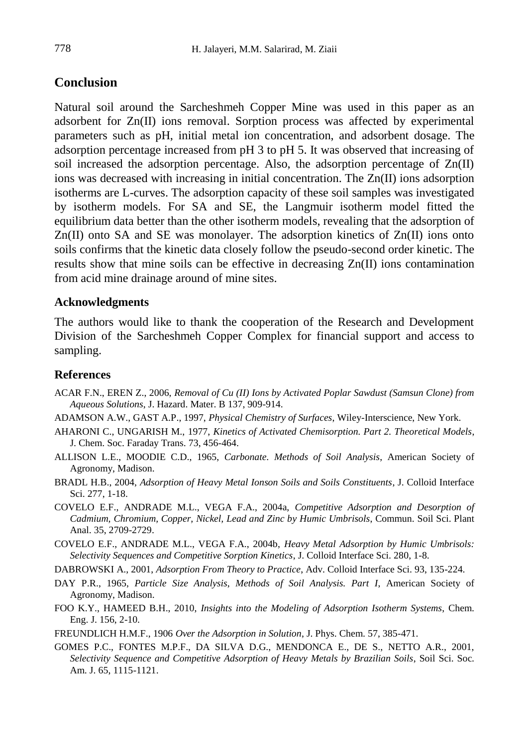# **Conclusion**

Natural soil around the Sarcheshmeh Copper Mine was used in this paper as an adsorbent for Zn(II) ions removal. Sorption process was affected by experimental parameters such as pH, initial metal ion concentration, and adsorbent dosage. The adsorption percentage increased from pH 3 to pH 5. It was observed that increasing of soil increased the adsorption percentage. Also, the adsorption percentage of Zn(II) ions was decreased with increasing in initial concentration. The Zn(II) ions adsorption isotherms are L-curves. The adsorption capacity of these soil samples was investigated by isotherm models. For SA and SE, the Langmuir isotherm model fitted the equilibrium data better than the other isotherm models, revealing that the adsorption of  $Zn(II)$  onto SA and SE was monolayer. The adsorption kinetics of  $Zn(II)$  ions onto soils confirms that the kinetic data closely follow the pseudo-second order kinetic. The results show that mine soils can be effective in decreasing  $Zn(\Pi)$  ions contamination from acid mine drainage around of mine sites.

### **Acknowledgments**

The authors would like to thank the cooperation of the Research and Development Division of the Sarcheshmeh Copper Complex for financial support and access to sampling.

### **References**

- ACAR F.N., EREN Z., 2006, *Removal of Cu (II) Ions by Activated Poplar Sawdust (Samsun Clone) from Aqueous Solutions*, J. Hazard. Mater. B 137, 909-914.
- ADAMSON A.W., GAST A.P., 1997, *Physical Chemistry of Surfaces*, Wiley-Interscience, New York.
- AHARONI C., UNGARISH M., 1977, *Kinetics of Activated Chemisorption. Part 2. Theoretical Models*, J. Chem. Soc. Faraday Trans. 73, 456-464.
- ALLISON L.E., MOODIE C.D., 1965, *Carbonate. Methods of Soil Analysis*, American Society of Agronomy, Madison.
- BRADL H.B., 2004, *Adsorption of Heavy Metal Ionson Soils and Soils Constituents*, J. Colloid Interface Sci. 277, 1-18.
- COVELO E.F., ANDRADE M.L., VEGA F.A., 2004a, *Competitive Adsorption and Desorption of Cadmium, Chromium, Copper, Nickel, Lead and Zinc by Humic Umbrisols*, Commun. Soil Sci. Plant Anal. 35, 2709-2729.
- COVELO E.F., ANDRADE M.L., VEGA F.A., 2004b, *Heavy Metal Adsorption by Humic Umbrisols: Selectivity Sequences and Competitive Sorption Kinetics*, J. Colloid Interface Sci. 280, 1-8.
- DABROWSKI A., 2001, *Adsorption From Theory to Practice*, Adv. Colloid Interface Sci. 93, 135-224.
- DAY P.R., 1965, *Particle Size Analysis*, *Methods of Soil Analysis. Part I*, American Society of Agronomy, Madison.
- FOO K.Y., HAMEED B.H., 2010, *Insights into the Modeling of Adsorption Isotherm Systems*, Chem. Eng. J. 156, 2-10.
- FREUNDLICH H.M.F., 1906 *Over the Adsorption in Solution*, J. Phys. Chem. 57, 385-471.
- GOMES P.C., FONTES M.P.F., DA SILVA D.G., MENDONCA E., DE S., NETTO A.R., 2001, *Selectivity Sequence and Competitive Adsorption of Heavy Metals by Brazilian Soils*, Soil Sci. Soc. Am. J. 65, 1115-1121.